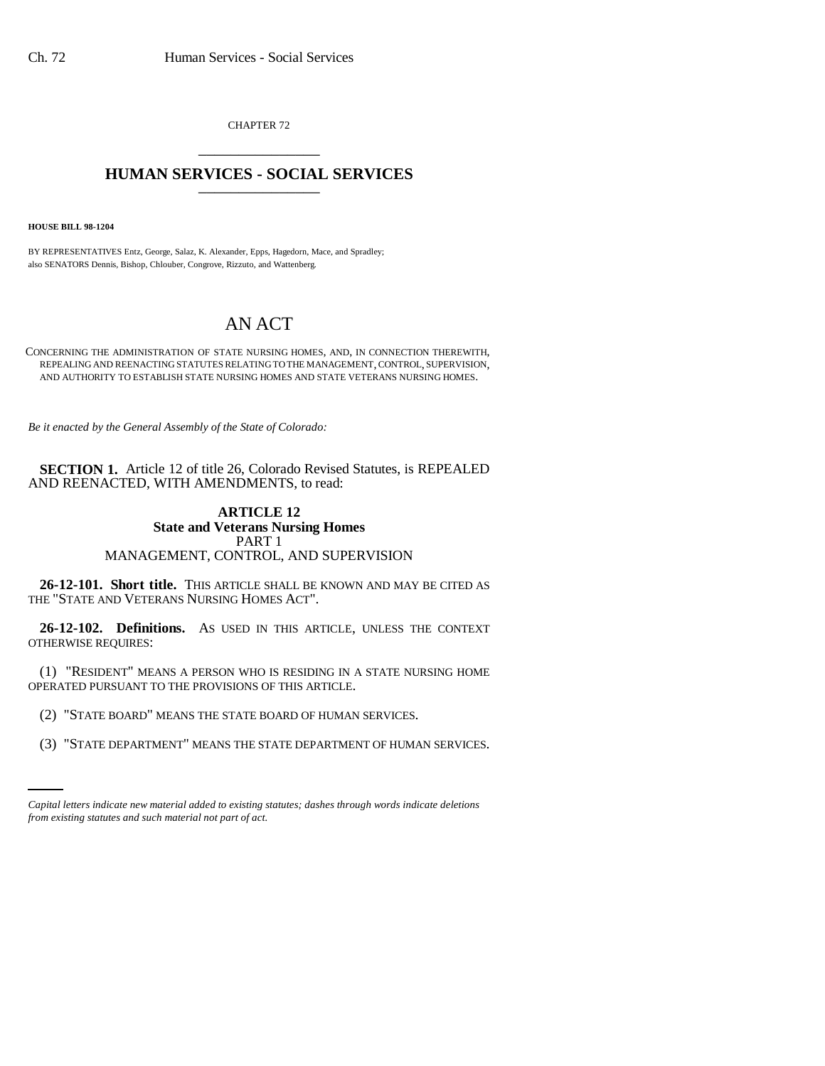CHAPTER 72 \_\_\_\_\_\_\_\_\_\_\_\_\_\_\_

## **HUMAN SERVICES - SOCIAL SERVICES** \_\_\_\_\_\_\_\_\_\_\_\_\_\_\_

**HOUSE BILL 98-1204**

BY REPRESENTATIVES Entz, George, Salaz, K. Alexander, Epps, Hagedorn, Mace, and Spradley; also SENATORS Dennis, Bishop, Chlouber, Congrove, Rizzuto, and Wattenberg.

## AN ACT

CONCERNING THE ADMINISTRATION OF STATE NURSING HOMES, AND, IN CONNECTION THEREWITH, REPEALING AND REENACTING STATUTES RELATING TO THE MANAGEMENT, CONTROL, SUPERVISION, AND AUTHORITY TO ESTABLISH STATE NURSING HOMES AND STATE VETERANS NURSING HOMES.

*Be it enacted by the General Assembly of the State of Colorado:*

**SECTION 1.** Article 12 of title 26, Colorado Revised Statutes, is REPEALED AND REENACTED, WITH AMENDMENTS, to read:

## **ARTICLE 12 State and Veterans Nursing Homes** PART 1 MANAGEMENT, CONTROL, AND SUPERVISION

**26-12-101. Short title.** THIS ARTICLE SHALL BE KNOWN AND MAY BE CITED AS THE "STATE AND VETERANS NURSING HOMES ACT".

**26-12-102. Definitions.** AS USED IN THIS ARTICLE, UNLESS THE CONTEXT OTHERWISE REQUIRES:

(1) "RESIDENT" MEANS A PERSON WHO IS RESIDING IN A STATE NURSING HOME OPERATED PURSUANT TO THE PROVISIONS OF THIS ARTICLE.

- (2) "STATE BOARD" MEANS THE STATE BOARD OF HUMAN SERVICES.
	- (3) "STATE DEPARTMENT" MEANS THE STATE DEPARTMENT OF HUMAN SERVICES.

*Capital letters indicate new material added to existing statutes; dashes through words indicate deletions from existing statutes and such material not part of act.*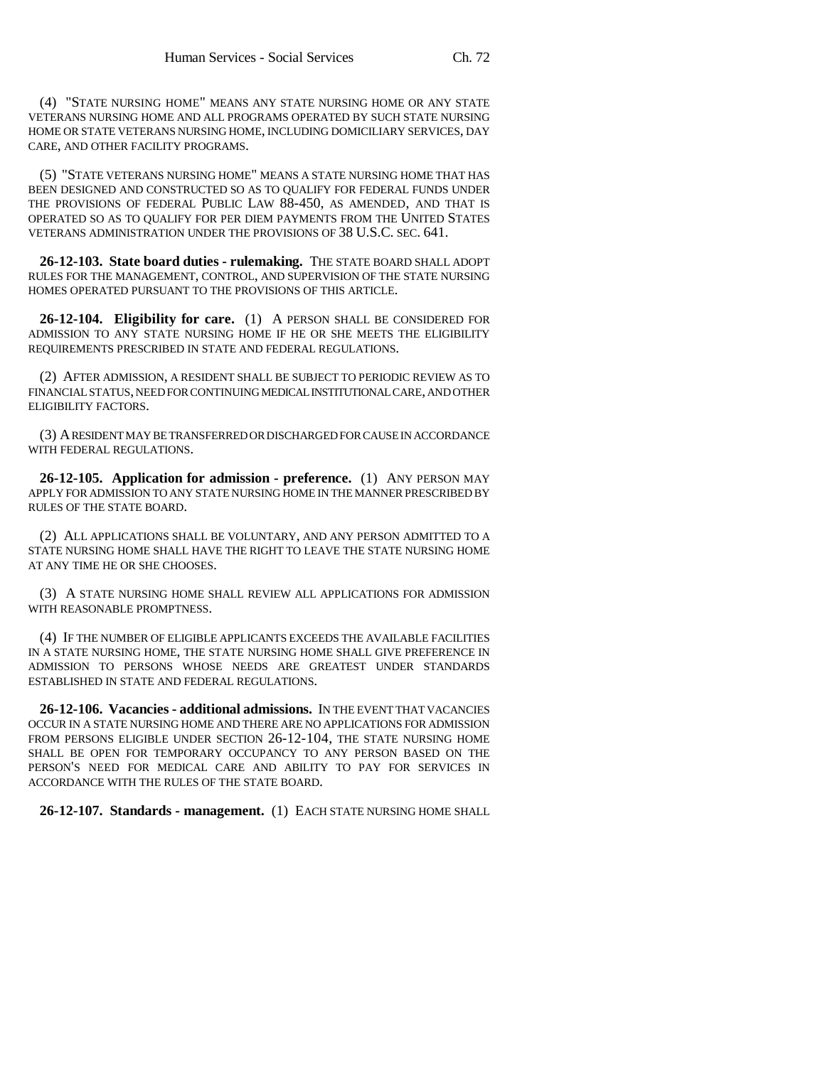(4) "STATE NURSING HOME" MEANS ANY STATE NURSING HOME OR ANY STATE VETERANS NURSING HOME AND ALL PROGRAMS OPERATED BY SUCH STATE NURSING HOME OR STATE VETERANS NURSING HOME, INCLUDING DOMICILIARY SERVICES, DAY CARE, AND OTHER FACILITY PROGRAMS.

(5) "STATE VETERANS NURSING HOME" MEANS A STATE NURSING HOME THAT HAS BEEN DESIGNED AND CONSTRUCTED SO AS TO QUALIFY FOR FEDERAL FUNDS UNDER THE PROVISIONS OF FEDERAL PUBLIC LAW 88-450, AS AMENDED, AND THAT IS OPERATED SO AS TO QUALIFY FOR PER DIEM PAYMENTS FROM THE UNITED STATES VETERANS ADMINISTRATION UNDER THE PROVISIONS OF 38 U.S.C. SEC. 641.

**26-12-103. State board duties - rulemaking.** THE STATE BOARD SHALL ADOPT RULES FOR THE MANAGEMENT, CONTROL, AND SUPERVISION OF THE STATE NURSING HOMES OPERATED PURSUANT TO THE PROVISIONS OF THIS ARTICLE.

**26-12-104. Eligibility for care.** (1) A PERSON SHALL BE CONSIDERED FOR ADMISSION TO ANY STATE NURSING HOME IF HE OR SHE MEETS THE ELIGIBILITY REQUIREMENTS PRESCRIBED IN STATE AND FEDERAL REGULATIONS.

(2) AFTER ADMISSION, A RESIDENT SHALL BE SUBJECT TO PERIODIC REVIEW AS TO FINANCIAL STATUS, NEED FOR CONTINUING MEDICAL INSTITUTIONAL CARE, AND OTHER ELIGIBILITY FACTORS.

(3) A RESIDENT MAY BE TRANSFERRED OR DISCHARGED FOR CAUSE IN ACCORDANCE WITH FEDERAL REGULATIONS.

**26-12-105. Application for admission - preference.** (1) ANY PERSON MAY APPLY FOR ADMISSION TO ANY STATE NURSING HOME IN THE MANNER PRESCRIBED BY RULES OF THE STATE BOARD.

(2) ALL APPLICATIONS SHALL BE VOLUNTARY, AND ANY PERSON ADMITTED TO A STATE NURSING HOME SHALL HAVE THE RIGHT TO LEAVE THE STATE NURSING HOME AT ANY TIME HE OR SHE CHOOSES.

(3) A STATE NURSING HOME SHALL REVIEW ALL APPLICATIONS FOR ADMISSION WITH REASONABLE PROMPTNESS.

(4) IF THE NUMBER OF ELIGIBLE APPLICANTS EXCEEDS THE AVAILABLE FACILITIES IN A STATE NURSING HOME, THE STATE NURSING HOME SHALL GIVE PREFERENCE IN ADMISSION TO PERSONS WHOSE NEEDS ARE GREATEST UNDER STANDARDS ESTABLISHED IN STATE AND FEDERAL REGULATIONS.

**26-12-106. Vacancies - additional admissions.** IN THE EVENT THAT VACANCIES OCCUR IN A STATE NURSING HOME AND THERE ARE NO APPLICATIONS FOR ADMISSION FROM PERSONS ELIGIBLE UNDER SECTION 26-12-104, THE STATE NURSING HOME SHALL BE OPEN FOR TEMPORARY OCCUPANCY TO ANY PERSON BASED ON THE PERSON'S NEED FOR MEDICAL CARE AND ABILITY TO PAY FOR SERVICES IN ACCORDANCE WITH THE RULES OF THE STATE BOARD.

**26-12-107. Standards - management.** (1) EACH STATE NURSING HOME SHALL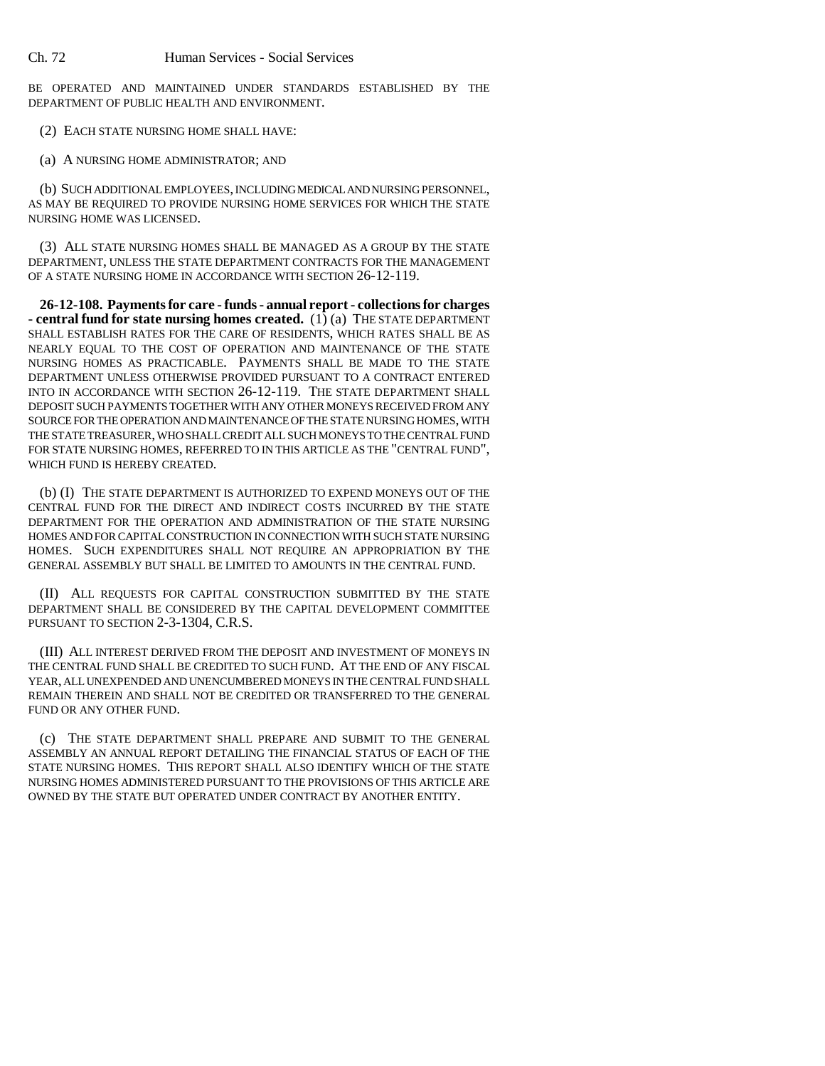BE OPERATED AND MAINTAINED UNDER STANDARDS ESTABLISHED BY THE DEPARTMENT OF PUBLIC HEALTH AND ENVIRONMENT.

- (2) EACH STATE NURSING HOME SHALL HAVE:
- (a) A NURSING HOME ADMINISTRATOR; AND

(b) SUCH ADDITIONAL EMPLOYEES, INCLUDING MEDICAL AND NURSING PERSONNEL, AS MAY BE REQUIRED TO PROVIDE NURSING HOME SERVICES FOR WHICH THE STATE NURSING HOME WAS LICENSED.

(3) ALL STATE NURSING HOMES SHALL BE MANAGED AS A GROUP BY THE STATE DEPARTMENT, UNLESS THE STATE DEPARTMENT CONTRACTS FOR THE MANAGEMENT OF A STATE NURSING HOME IN ACCORDANCE WITH SECTION 26-12-119.

**26-12-108. Payments for care - funds - annual report - collections for charges - central fund for state nursing homes created.** (1) (a) THE STATE DEPARTMENT SHALL ESTABLISH RATES FOR THE CARE OF RESIDENTS, WHICH RATES SHALL BE AS NEARLY EQUAL TO THE COST OF OPERATION AND MAINTENANCE OF THE STATE NURSING HOMES AS PRACTICABLE. PAYMENTS SHALL BE MADE TO THE STATE DEPARTMENT UNLESS OTHERWISE PROVIDED PURSUANT TO A CONTRACT ENTERED INTO IN ACCORDANCE WITH SECTION 26-12-119. THE STATE DEPARTMENT SHALL DEPOSIT SUCH PAYMENTS TOGETHER WITH ANY OTHER MONEYS RECEIVED FROM ANY SOURCE FOR THE OPERATION AND MAINTENANCE OF THE STATE NURSING HOMES, WITH THE STATE TREASURER, WHO SHALL CREDIT ALL SUCH MONEYS TO THE CENTRAL FUND FOR STATE NURSING HOMES, REFERRED TO IN THIS ARTICLE AS THE "CENTRAL FUND", WHICH FUND IS HEREBY CREATED.

(b) (I) THE STATE DEPARTMENT IS AUTHORIZED TO EXPEND MONEYS OUT OF THE CENTRAL FUND FOR THE DIRECT AND INDIRECT COSTS INCURRED BY THE STATE DEPARTMENT FOR THE OPERATION AND ADMINISTRATION OF THE STATE NURSING HOMES AND FOR CAPITAL CONSTRUCTION IN CONNECTION WITH SUCH STATE NURSING HOMES. SUCH EXPENDITURES SHALL NOT REQUIRE AN APPROPRIATION BY THE GENERAL ASSEMBLY BUT SHALL BE LIMITED TO AMOUNTS IN THE CENTRAL FUND.

(II) ALL REQUESTS FOR CAPITAL CONSTRUCTION SUBMITTED BY THE STATE DEPARTMENT SHALL BE CONSIDERED BY THE CAPITAL DEVELOPMENT COMMITTEE PURSUANT TO SECTION 2-3-1304, C.R.S.

(III) ALL INTEREST DERIVED FROM THE DEPOSIT AND INVESTMENT OF MONEYS IN THE CENTRAL FUND SHALL BE CREDITED TO SUCH FUND. AT THE END OF ANY FISCAL YEAR, ALL UNEXPENDED AND UNENCUMBERED MONEYS IN THE CENTRAL FUND SHALL REMAIN THEREIN AND SHALL NOT BE CREDITED OR TRANSFERRED TO THE GENERAL FUND OR ANY OTHER FUND.

(c) THE STATE DEPARTMENT SHALL PREPARE AND SUBMIT TO THE GENERAL ASSEMBLY AN ANNUAL REPORT DETAILING THE FINANCIAL STATUS OF EACH OF THE STATE NURSING HOMES. THIS REPORT SHALL ALSO IDENTIFY WHICH OF THE STATE NURSING HOMES ADMINISTERED PURSUANT TO THE PROVISIONS OF THIS ARTICLE ARE OWNED BY THE STATE BUT OPERATED UNDER CONTRACT BY ANOTHER ENTITY.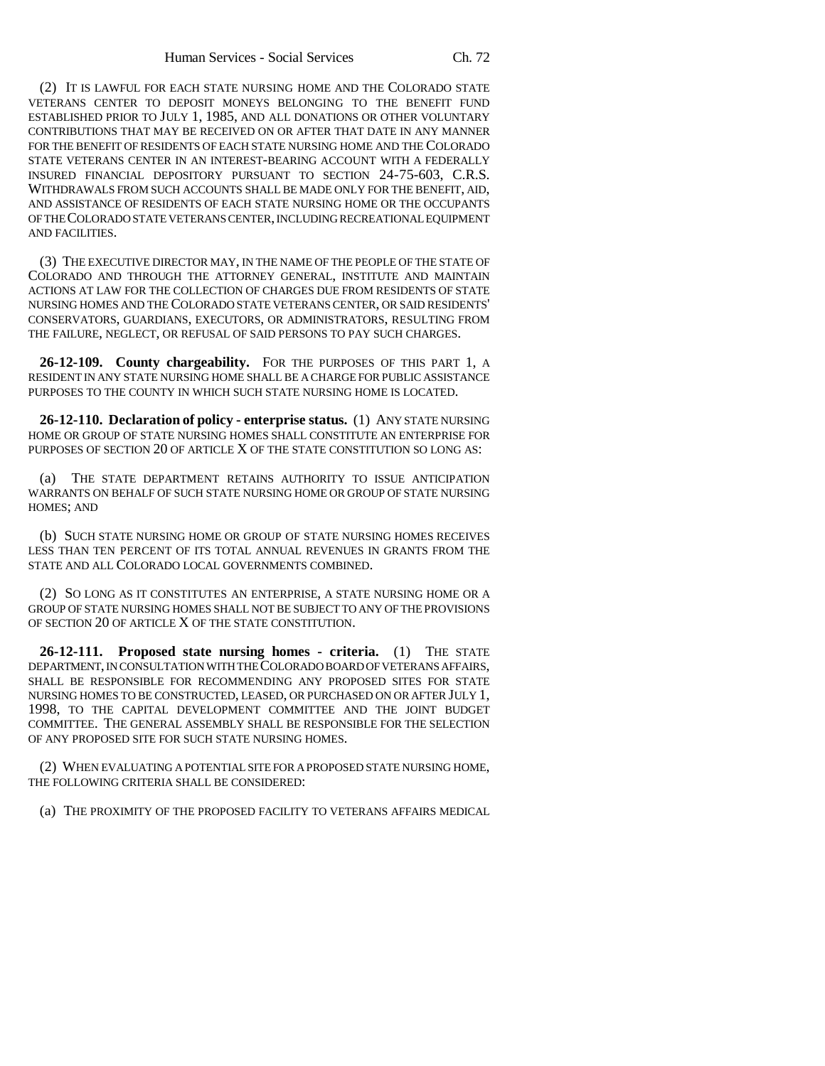(2) IT IS LAWFUL FOR EACH STATE NURSING HOME AND THE COLORADO STATE VETERANS CENTER TO DEPOSIT MONEYS BELONGING TO THE BENEFIT FUND ESTABLISHED PRIOR TO JULY 1, 1985, AND ALL DONATIONS OR OTHER VOLUNTARY CONTRIBUTIONS THAT MAY BE RECEIVED ON OR AFTER THAT DATE IN ANY MANNER FOR THE BENEFIT OF RESIDENTS OF EACH STATE NURSING HOME AND THE COLORADO STATE VETERANS CENTER IN AN INTEREST-BEARING ACCOUNT WITH A FEDERALLY INSURED FINANCIAL DEPOSITORY PURSUANT TO SECTION 24-75-603, C.R.S. WITHDRAWALS FROM SUCH ACCOUNTS SHALL BE MADE ONLY FOR THE BENEFIT, AID, AND ASSISTANCE OF RESIDENTS OF EACH STATE NURSING HOME OR THE OCCUPANTS OF THE COLORADO STATE VETERANS CENTER, INCLUDING RECREATIONAL EQUIPMENT AND FACILITIES.

(3) THE EXECUTIVE DIRECTOR MAY, IN THE NAME OF THE PEOPLE OF THE STATE OF COLORADO AND THROUGH THE ATTORNEY GENERAL, INSTITUTE AND MAINTAIN ACTIONS AT LAW FOR THE COLLECTION OF CHARGES DUE FROM RESIDENTS OF STATE NURSING HOMES AND THE COLORADO STATE VETERANS CENTER, OR SAID RESIDENTS' CONSERVATORS, GUARDIANS, EXECUTORS, OR ADMINISTRATORS, RESULTING FROM THE FAILURE, NEGLECT, OR REFUSAL OF SAID PERSONS TO PAY SUCH CHARGES.

**26-12-109. County chargeability.** FOR THE PURPOSES OF THIS PART 1, A RESIDENT IN ANY STATE NURSING HOME SHALL BE A CHARGE FOR PUBLIC ASSISTANCE PURPOSES TO THE COUNTY IN WHICH SUCH STATE NURSING HOME IS LOCATED.

**26-12-110. Declaration of policy - enterprise status.** (1) ANY STATE NURSING HOME OR GROUP OF STATE NURSING HOMES SHALL CONSTITUTE AN ENTERPRISE FOR PURPOSES OF SECTION 20 OF ARTICLE X OF THE STATE CONSTITUTION SO LONG AS:

(a) THE STATE DEPARTMENT RETAINS AUTHORITY TO ISSUE ANTICIPATION WARRANTS ON BEHALF OF SUCH STATE NURSING HOME OR GROUP OF STATE NURSING HOMES; AND

(b) SUCH STATE NURSING HOME OR GROUP OF STATE NURSING HOMES RECEIVES LESS THAN TEN PERCENT OF ITS TOTAL ANNUAL REVENUES IN GRANTS FROM THE STATE AND ALL COLORADO LOCAL GOVERNMENTS COMBINED.

(2) SO LONG AS IT CONSTITUTES AN ENTERPRISE, A STATE NURSING HOME OR A GROUP OF STATE NURSING HOMES SHALL NOT BE SUBJECT TO ANY OF THE PROVISIONS OF SECTION 20 OF ARTICLE X OF THE STATE CONSTITUTION.

**26-12-111. Proposed state nursing homes - criteria.** (1) THE STATE DEPARTMENT, IN CONSULTATION WITH THE COLORADO BOARD OF VETERANS AFFAIRS, SHALL BE RESPONSIBLE FOR RECOMMENDING ANY PROPOSED SITES FOR STATE NURSING HOMES TO BE CONSTRUCTED, LEASED, OR PURCHASED ON OR AFTER JULY 1, 1998, TO THE CAPITAL DEVELOPMENT COMMITTEE AND THE JOINT BUDGET COMMITTEE. THE GENERAL ASSEMBLY SHALL BE RESPONSIBLE FOR THE SELECTION OF ANY PROPOSED SITE FOR SUCH STATE NURSING HOMES.

(2) WHEN EVALUATING A POTENTIAL SITE FOR A PROPOSED STATE NURSING HOME, THE FOLLOWING CRITERIA SHALL BE CONSIDERED:

(a) THE PROXIMITY OF THE PROPOSED FACILITY TO VETERANS AFFAIRS MEDICAL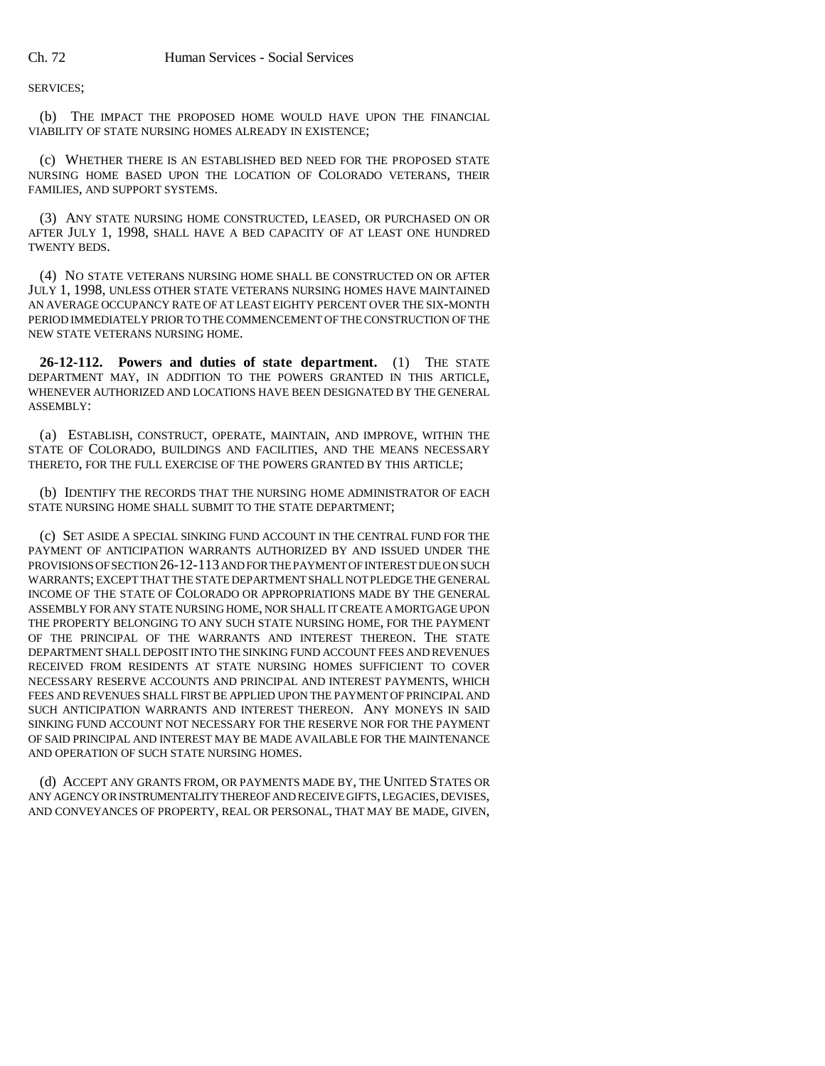SERVICES;

(b) THE IMPACT THE PROPOSED HOME WOULD HAVE UPON THE FINANCIAL VIABILITY OF STATE NURSING HOMES ALREADY IN EXISTENCE;

(c) WHETHER THERE IS AN ESTABLISHED BED NEED FOR THE PROPOSED STATE NURSING HOME BASED UPON THE LOCATION OF COLORADO VETERANS, THEIR FAMILIES, AND SUPPORT SYSTEMS.

(3) ANY STATE NURSING HOME CONSTRUCTED, LEASED, OR PURCHASED ON OR AFTER JULY 1, 1998, SHALL HAVE A BED CAPACITY OF AT LEAST ONE HUNDRED TWENTY BEDS.

(4) NO STATE VETERANS NURSING HOME SHALL BE CONSTRUCTED ON OR AFTER JULY 1, 1998, UNLESS OTHER STATE VETERANS NURSING HOMES HAVE MAINTAINED AN AVERAGE OCCUPANCY RATE OF AT LEAST EIGHTY PERCENT OVER THE SIX-MONTH PERIOD IMMEDIATELY PRIOR TO THE COMMENCEMENT OF THE CONSTRUCTION OF THE NEW STATE VETERANS NURSING HOME.

**26-12-112. Powers and duties of state department.** (1) THE STATE DEPARTMENT MAY, IN ADDITION TO THE POWERS GRANTED IN THIS ARTICLE, WHENEVER AUTHORIZED AND LOCATIONS HAVE BEEN DESIGNATED BY THE GENERAL ASSEMBLY:

(a) ESTABLISH, CONSTRUCT, OPERATE, MAINTAIN, AND IMPROVE, WITHIN THE STATE OF COLORADO, BUILDINGS AND FACILITIES, AND THE MEANS NECESSARY THERETO, FOR THE FULL EXERCISE OF THE POWERS GRANTED BY THIS ARTICLE;

(b) IDENTIFY THE RECORDS THAT THE NURSING HOME ADMINISTRATOR OF EACH STATE NURSING HOME SHALL SUBMIT TO THE STATE DEPARTMENT;

(c) SET ASIDE A SPECIAL SINKING FUND ACCOUNT IN THE CENTRAL FUND FOR THE PAYMENT OF ANTICIPATION WARRANTS AUTHORIZED BY AND ISSUED UNDER THE PROVISIONS OF SECTION 26-12-113 AND FOR THE PAYMENT OF INTEREST DUE ON SUCH WARRANTS; EXCEPT THAT THE STATE DEPARTMENT SHALL NOT PLEDGE THE GENERAL INCOME OF THE STATE OF COLORADO OR APPROPRIATIONS MADE BY THE GENERAL ASSEMBLY FOR ANY STATE NURSING HOME, NOR SHALL IT CREATE A MORTGAGE UPON THE PROPERTY BELONGING TO ANY SUCH STATE NURSING HOME, FOR THE PAYMENT OF THE PRINCIPAL OF THE WARRANTS AND INTEREST THEREON. THE STATE DEPARTMENT SHALL DEPOSIT INTO THE SINKING FUND ACCOUNT FEES AND REVENUES RECEIVED FROM RESIDENTS AT STATE NURSING HOMES SUFFICIENT TO COVER NECESSARY RESERVE ACCOUNTS AND PRINCIPAL AND INTEREST PAYMENTS, WHICH FEES AND REVENUES SHALL FIRST BE APPLIED UPON THE PAYMENT OF PRINCIPAL AND SUCH ANTICIPATION WARRANTS AND INTEREST THEREON. ANY MONEYS IN SAID SINKING FUND ACCOUNT NOT NECESSARY FOR THE RESERVE NOR FOR THE PAYMENT OF SAID PRINCIPAL AND INTEREST MAY BE MADE AVAILABLE FOR THE MAINTENANCE AND OPERATION OF SUCH STATE NURSING HOMES.

(d) ACCEPT ANY GRANTS FROM, OR PAYMENTS MADE BY, THE UNITED STATES OR ANY AGENCY OR INSTRUMENTALITY THEREOF AND RECEIVE GIFTS, LEGACIES, DEVISES, AND CONVEYANCES OF PROPERTY, REAL OR PERSONAL, THAT MAY BE MADE, GIVEN,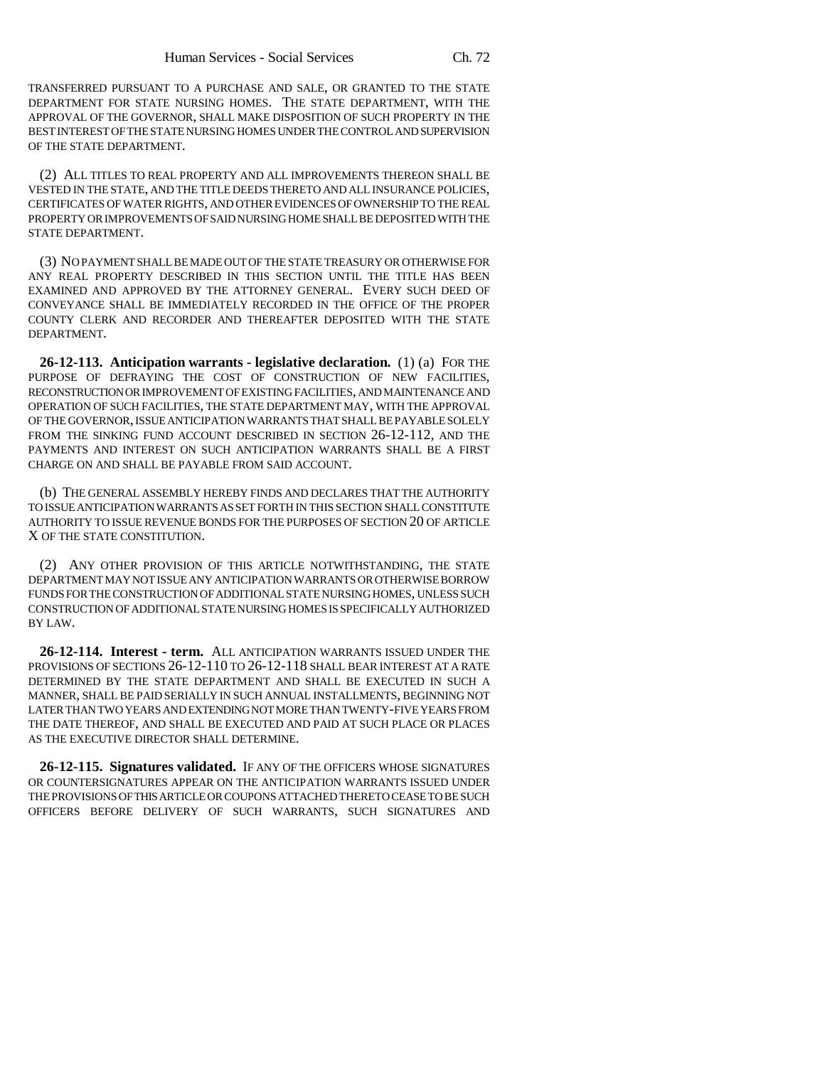TRANSFERRED PURSUANT TO A PURCHASE AND SALE, OR GRANTED TO THE STATE DEPARTMENT FOR STATE NURSING HOMES. THE STATE DEPARTMENT, WITH THE APPROVAL OF THE GOVERNOR, SHALL MAKE DISPOSITION OF SUCH PROPERTY IN THE BEST INTEREST OF THE STATE NURSING HOMES UNDER THE CONTROL AND SUPERVISION OF THE STATE DEPARTMENT.

(2) ALL TITLES TO REAL PROPERTY AND ALL IMPROVEMENTS THEREON SHALL BE VESTED IN THE STATE, AND THE TITLE DEEDS THERETO AND ALL INSURANCE POLICIES, CERTIFICATES OF WATER RIGHTS, AND OTHER EVIDENCES OF OWNERSHIP TO THE REAL PROPERTY OR IMPROVEMENTS OF SAID NURSING HOME SHALL BE DEPOSITED WITH THE STATE DEPARTMENT.

(3) NO PAYMENT SHALL BE MADE OUT OF THE STATE TREASURY OR OTHERWISE FOR ANY REAL PROPERTY DESCRIBED IN THIS SECTION UNTIL THE TITLE HAS BEEN EXAMINED AND APPROVED BY THE ATTORNEY GENERAL. EVERY SUCH DEED OF CONVEYANCE SHALL BE IMMEDIATELY RECORDED IN THE OFFICE OF THE PROPER COUNTY CLERK AND RECORDER AND THEREAFTER DEPOSITED WITH THE STATE DEPARTMENT.

**26-12-113. Anticipation warrants - legislative declaration.** (1) (a) FOR THE PURPOSE OF DEFRAYING THE COST OF CONSTRUCTION OF NEW FACILITIES, RECONSTRUCTION OR IMPROVEMENT OF EXISTING FACILITIES, AND MAINTENANCE AND OPERATION OF SUCH FACILITIES, THE STATE DEPARTMENT MAY, WITH THE APPROVAL OF THE GOVERNOR, ISSUE ANTICIPATION WARRANTS THAT SHALL BE PAYABLE SOLELY FROM THE SINKING FUND ACCOUNT DESCRIBED IN SECTION 26-12-112, AND THE PAYMENTS AND INTEREST ON SUCH ANTICIPATION WARRANTS SHALL BE A FIRST CHARGE ON AND SHALL BE PAYABLE FROM SAID ACCOUNT.

(b) THE GENERAL ASSEMBLY HEREBY FINDS AND DECLARES THAT THE AUTHORITY TO ISSUE ANTICIPATION WARRANTS AS SET FORTH IN THIS SECTION SHALL CONSTITUTE AUTHORITY TO ISSUE REVENUE BONDS FOR THE PURPOSES OF SECTION 20 OF ARTICLE X OF THE STATE CONSTITUTION.

(2) ANY OTHER PROVISION OF THIS ARTICLE NOTWITHSTANDING, THE STATE DEPARTMENT MAY NOT ISSUE ANY ANTICIPATION WARRANTS OR OTHERWISE BORROW FUNDS FOR THE CONSTRUCTION OF ADDITIONAL STATE NURSING HOMES, UNLESS SUCH CONSTRUCTION OF ADDITIONAL STATE NURSING HOMES IS SPECIFICALLY AUTHORIZED BY LAW.

**26-12-114. Interest - term.** ALL ANTICIPATION WARRANTS ISSUED UNDER THE PROVISIONS OF SECTIONS 26-12-110 TO 26-12-118 SHALL BEAR INTEREST AT A RATE DETERMINED BY THE STATE DEPARTMENT AND SHALL BE EXECUTED IN SUCH A MANNER, SHALL BE PAID SERIALLY IN SUCH ANNUAL INSTALLMENTS, BEGINNING NOT LATER THAN TWO YEARS AND EXTENDING NOT MORE THAN TWENTY-FIVE YEARS FROM THE DATE THEREOF, AND SHALL BE EXECUTED AND PAID AT SUCH PLACE OR PLACES AS THE EXECUTIVE DIRECTOR SHALL DETERMINE.

**26-12-115. Signatures validated.** IF ANY OF THE OFFICERS WHOSE SIGNATURES OR COUNTERSIGNATURES APPEAR ON THE ANTICIPATION WARRANTS ISSUED UNDER THE PROVISIONS OF THIS ARTICLE OR COUPONS ATTACHED THERETO CEASE TO BE SUCH OFFICERS BEFORE DELIVERY OF SUCH WARRANTS, SUCH SIGNATURES AND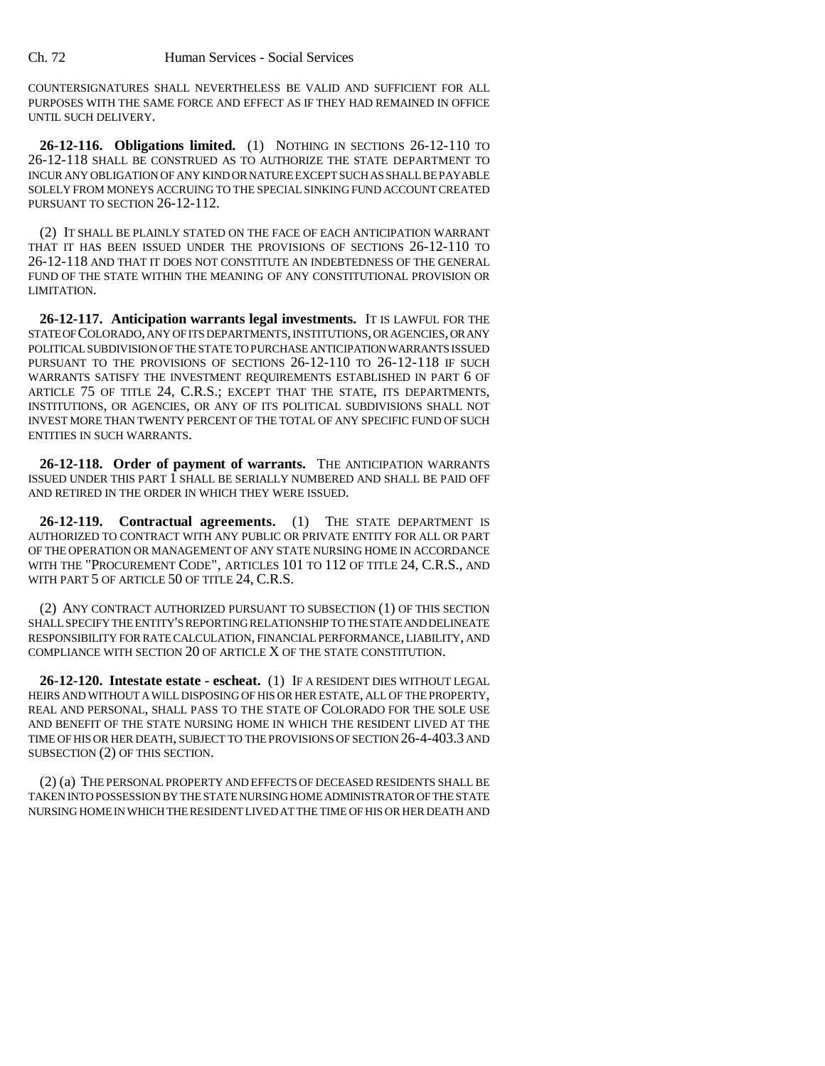COUNTERSIGNATURES SHALL NEVERTHELESS BE VALID AND SUFFICIENT FOR ALL PURPOSES WITH THE SAME FORCE AND EFFECT AS IF THEY HAD REMAINED IN OFFICE UNTIL SUCH DELIVERY.

**26-12-116. Obligations limited.** (1) NOTHING IN SECTIONS 26-12-110 TO 26-12-118 SHALL BE CONSTRUED AS TO AUTHORIZE THE STATE DEPARTMENT TO INCUR ANY OBLIGATION OF ANY KIND OR NATURE EXCEPT SUCH AS SHALL BE PAYABLE SOLELY FROM MONEYS ACCRUING TO THE SPECIAL SINKING FUND ACCOUNT CREATED PURSUANT TO SECTION 26-12-112.

(2) IT SHALL BE PLAINLY STATED ON THE FACE OF EACH ANTICIPATION WARRANT THAT IT HAS BEEN ISSUED UNDER THE PROVISIONS OF SECTIONS 26-12-110 TO 26-12-118 AND THAT IT DOES NOT CONSTITUTE AN INDEBTEDNESS OF THE GENERAL FUND OF THE STATE WITHIN THE MEANING OF ANY CONSTITUTIONAL PROVISION OR LIMITATION.

**26-12-117. Anticipation warrants legal investments.** IT IS LAWFUL FOR THE STATE OF COLORADO, ANY OF ITS DEPARTMENTS, INSTITUTIONS, OR AGENCIES, OR ANY POLITICAL SUBDIVISION OF THE STATE TO PURCHASE ANTICIPATION WARRANTS ISSUED PURSUANT TO THE PROVISIONS OF SECTIONS 26-12-110 TO 26-12-118 IF SUCH WARRANTS SATISFY THE INVESTMENT REQUIREMENTS ESTABLISHED IN PART 6 OF ARTICLE 75 OF TITLE 24, C.R.S.; EXCEPT THAT THE STATE, ITS DEPARTMENTS, INSTITUTIONS, OR AGENCIES, OR ANY OF ITS POLITICAL SUBDIVISIONS SHALL NOT INVEST MORE THAN TWENTY PERCENT OF THE TOTAL OF ANY SPECIFIC FUND OF SUCH ENTITIES IN SUCH WARRANTS.

**26-12-118. Order of payment of warrants.** THE ANTICIPATION WARRANTS ISSUED UNDER THIS PART 1 SHALL BE SERIALLY NUMBERED AND SHALL BE PAID OFF AND RETIRED IN THE ORDER IN WHICH THEY WERE ISSUED.

**26-12-119. Contractual agreements.** (1) THE STATE DEPARTMENT IS AUTHORIZED TO CONTRACT WITH ANY PUBLIC OR PRIVATE ENTITY FOR ALL OR PART OF THE OPERATION OR MANAGEMENT OF ANY STATE NURSING HOME IN ACCORDANCE WITH THE "PROCUREMENT CODE", ARTICLES 101 TO 112 OF TITLE 24, C.R.S., AND WITH PART 5 OF ARTICLE 50 OF TITLE 24, C.R.S.

(2) ANY CONTRACT AUTHORIZED PURSUANT TO SUBSECTION (1) OF THIS SECTION SHALL SPECIFY THE ENTITY'S REPORTING RELATIONSHIP TO THE STATE AND DELINEATE RESPONSIBILITY FOR RATE CALCULATION, FINANCIAL PERFORMANCE, LIABILITY, AND COMPLIANCE WITH SECTION 20 OF ARTICLE X OF THE STATE CONSTITUTION.

**26-12-120. Intestate estate - escheat.** (1) IF A RESIDENT DIES WITHOUT LEGAL HEIRS AND WITHOUT A WILL DISPOSING OF HIS OR HER ESTATE, ALL OF THE PROPERTY, REAL AND PERSONAL, SHALL PASS TO THE STATE OF COLORADO FOR THE SOLE USE AND BENEFIT OF THE STATE NURSING HOME IN WHICH THE RESIDENT LIVED AT THE TIME OF HIS OR HER DEATH, SUBJECT TO THE PROVISIONS OF SECTION 26-4-403.3 AND SUBSECTION (2) OF THIS SECTION.

(2) (a) THE PERSONAL PROPERTY AND EFFECTS OF DECEASED RESIDENTS SHALL BE TAKEN INTO POSSESSION BY THE STATE NURSING HOME ADMINISTRATOR OF THE STATE NURSING HOME IN WHICH THE RESIDENT LIVED AT THE TIME OF HIS OR HER DEATH AND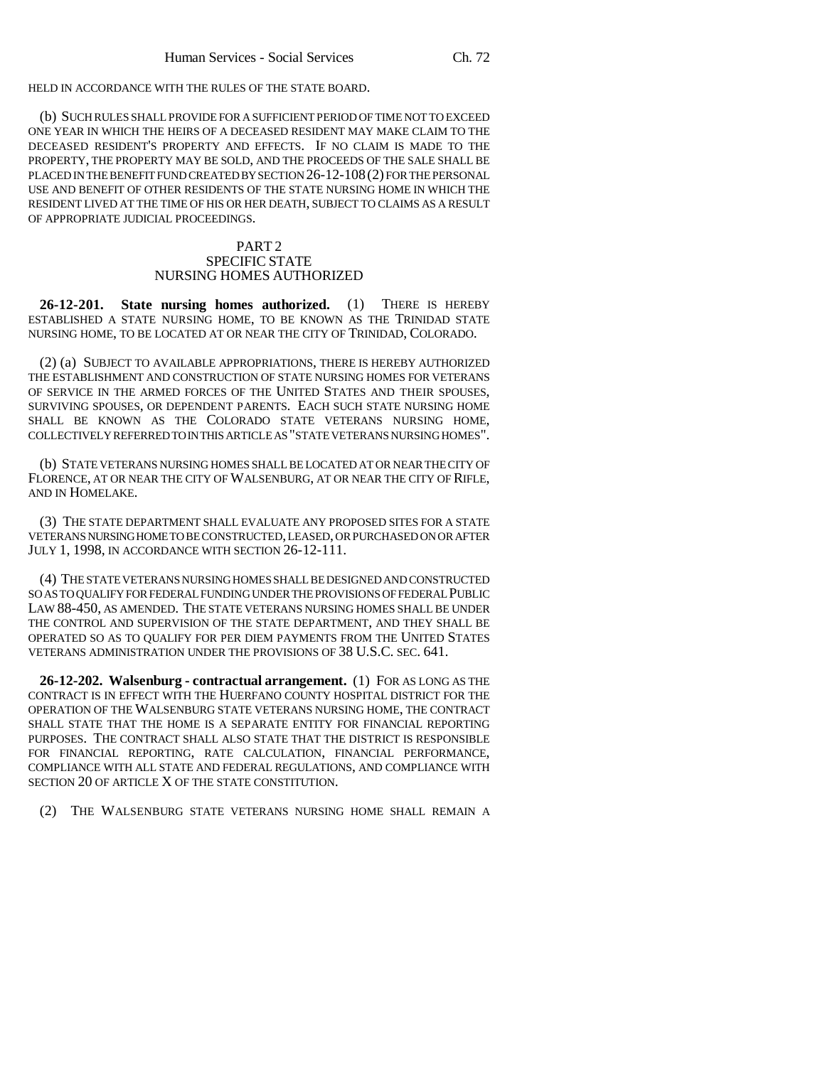HELD IN ACCORDANCE WITH THE RULES OF THE STATE BOARD.

(b) SUCH RULES SHALL PROVIDE FOR A SUFFICIENT PERIOD OF TIME NOT TO EXCEED ONE YEAR IN WHICH THE HEIRS OF A DECEASED RESIDENT MAY MAKE CLAIM TO THE DECEASED RESIDENT'S PROPERTY AND EFFECTS. IF NO CLAIM IS MADE TO THE PROPERTY, THE PROPERTY MAY BE SOLD, AND THE PROCEEDS OF THE SALE SHALL BE PLACED IN THE BENEFIT FUND CREATED BY SECTION 26-12-108(2) FOR THE PERSONAL USE AND BENEFIT OF OTHER RESIDENTS OF THE STATE NURSING HOME IN WHICH THE RESIDENT LIVED AT THE TIME OF HIS OR HER DEATH, SUBJECT TO CLAIMS AS A RESULT OF APPROPRIATE JUDICIAL PROCEEDINGS.

## PART<sub>2</sub> SPECIFIC STATE NURSING HOMES AUTHORIZED

**26-12-201. State nursing homes authorized.** (1) THERE IS HEREBY ESTABLISHED A STATE NURSING HOME, TO BE KNOWN AS THE TRINIDAD STATE NURSING HOME, TO BE LOCATED AT OR NEAR THE CITY OF TRINIDAD, COLORADO.

(2) (a) SUBJECT TO AVAILABLE APPROPRIATIONS, THERE IS HEREBY AUTHORIZED THE ESTABLISHMENT AND CONSTRUCTION OF STATE NURSING HOMES FOR VETERANS OF SERVICE IN THE ARMED FORCES OF THE UNITED STATES AND THEIR SPOUSES, SURVIVING SPOUSES, OR DEPENDENT PARENTS. EACH SUCH STATE NURSING HOME SHALL BE KNOWN AS THE COLORADO STATE VETERANS NURSING HOME, COLLECTIVELY REFERRED TO IN THIS ARTICLE AS "STATE VETERANS NURSING HOMES".

(b) STATE VETERANS NURSING HOMES SHALL BE LOCATED AT OR NEAR THE CITY OF FLORENCE, AT OR NEAR THE CITY OF WALSENBURG, AT OR NEAR THE CITY OF RIFLE, AND IN HOMELAKE.

(3) THE STATE DEPARTMENT SHALL EVALUATE ANY PROPOSED SITES FOR A STATE VETERANS NURSING HOME TO BE CONSTRUCTED, LEASED, OR PURCHASED ON OR AFTER JULY 1, 1998, IN ACCORDANCE WITH SECTION 26-12-111.

(4) THE STATE VETERANS NURSING HOMES SHALL BE DESIGNED AND CONSTRUCTED SO AS TO QUALIFY FOR FEDERAL FUNDING UNDER THE PROVISIONS OF FEDERAL PUBLIC LAW 88-450, AS AMENDED. THE STATE VETERANS NURSING HOMES SHALL BE UNDER THE CONTROL AND SUPERVISION OF THE STATE DEPARTMENT, AND THEY SHALL BE OPERATED SO AS TO QUALIFY FOR PER DIEM PAYMENTS FROM THE UNITED STATES VETERANS ADMINISTRATION UNDER THE PROVISIONS OF 38 U.S.C. SEC. 641.

**26-12-202. Walsenburg - contractual arrangement.** (1) FOR AS LONG AS THE CONTRACT IS IN EFFECT WITH THE HUERFANO COUNTY HOSPITAL DISTRICT FOR THE OPERATION OF THE WALSENBURG STATE VETERANS NURSING HOME, THE CONTRACT SHALL STATE THAT THE HOME IS A SEPARATE ENTITY FOR FINANCIAL REPORTING PURPOSES. THE CONTRACT SHALL ALSO STATE THAT THE DISTRICT IS RESPONSIBLE FOR FINANCIAL REPORTING, RATE CALCULATION, FINANCIAL PERFORMANCE, COMPLIANCE WITH ALL STATE AND FEDERAL REGULATIONS, AND COMPLIANCE WITH SECTION 20 OF ARTICLE X OF THE STATE CONSTITUTION.

(2) THE WALSENBURG STATE VETERANS NURSING HOME SHALL REMAIN A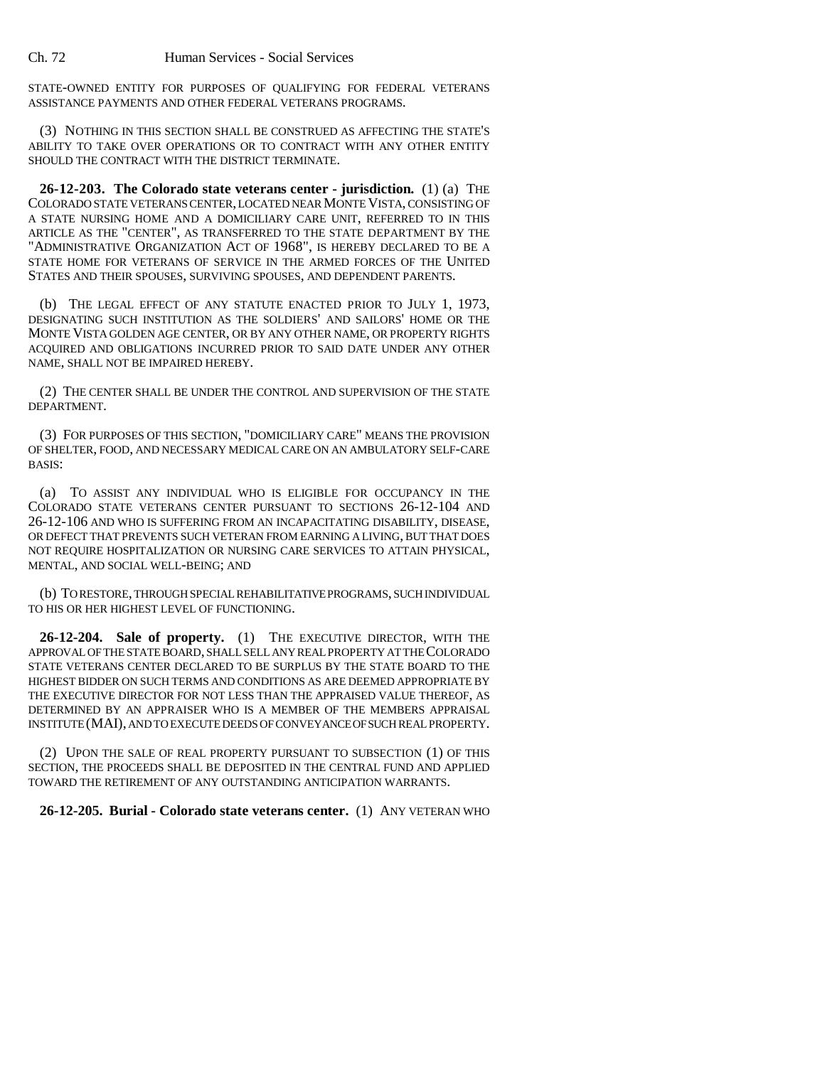STATE-OWNED ENTITY FOR PURPOSES OF QUALIFYING FOR FEDERAL VETERANS ASSISTANCE PAYMENTS AND OTHER FEDERAL VETERANS PROGRAMS.

(3) NOTHING IN THIS SECTION SHALL BE CONSTRUED AS AFFECTING THE STATE'S ABILITY TO TAKE OVER OPERATIONS OR TO CONTRACT WITH ANY OTHER ENTITY SHOULD THE CONTRACT WITH THE DISTRICT TERMINATE.

**26-12-203. The Colorado state veterans center - jurisdiction.** (1) (a) THE COLORADO STATE VETERANS CENTER, LOCATED NEAR MONTE VISTA, CONSISTING OF A STATE NURSING HOME AND A DOMICILIARY CARE UNIT, REFERRED TO IN THIS ARTICLE AS THE "CENTER", AS TRANSFERRED TO THE STATE DEPARTMENT BY THE "ADMINISTRATIVE ORGANIZATION ACT OF 1968", IS HEREBY DECLARED TO BE A STATE HOME FOR VETERANS OF SERVICE IN THE ARMED FORCES OF THE UNITED STATES AND THEIR SPOUSES, SURVIVING SPOUSES, AND DEPENDENT PARENTS.

(b) THE LEGAL EFFECT OF ANY STATUTE ENACTED PRIOR TO JULY 1, 1973, DESIGNATING SUCH INSTITUTION AS THE SOLDIERS' AND SAILORS' HOME OR THE MONTE VISTA GOLDEN AGE CENTER, OR BY ANY OTHER NAME, OR PROPERTY RIGHTS ACQUIRED AND OBLIGATIONS INCURRED PRIOR TO SAID DATE UNDER ANY OTHER NAME, SHALL NOT BE IMPAIRED HEREBY.

(2) THE CENTER SHALL BE UNDER THE CONTROL AND SUPERVISION OF THE STATE DEPARTMENT.

(3) FOR PURPOSES OF THIS SECTION, "DOMICILIARY CARE" MEANS THE PROVISION OF SHELTER, FOOD, AND NECESSARY MEDICAL CARE ON AN AMBULATORY SELF-CARE BASIS:

(a) TO ASSIST ANY INDIVIDUAL WHO IS ELIGIBLE FOR OCCUPANCY IN THE COLORADO STATE VETERANS CENTER PURSUANT TO SECTIONS 26-12-104 AND 26-12-106 AND WHO IS SUFFERING FROM AN INCAPACITATING DISABILITY, DISEASE, OR DEFECT THAT PREVENTS SUCH VETERAN FROM EARNING A LIVING, BUT THAT DOES NOT REQUIRE HOSPITALIZATION OR NURSING CARE SERVICES TO ATTAIN PHYSICAL, MENTAL, AND SOCIAL WELL-BEING; AND

(b) TO RESTORE, THROUGH SPECIAL REHABILITATIVE PROGRAMS, SUCH INDIVIDUAL TO HIS OR HER HIGHEST LEVEL OF FUNCTIONING.

**26-12-204. Sale of property.** (1) THE EXECUTIVE DIRECTOR, WITH THE APPROVAL OF THE STATE BOARD, SHALL SELL ANY REAL PROPERTY AT THE COLORADO STATE VETERANS CENTER DECLARED TO BE SURPLUS BY THE STATE BOARD TO THE HIGHEST BIDDER ON SUCH TERMS AND CONDITIONS AS ARE DEEMED APPROPRIATE BY THE EXECUTIVE DIRECTOR FOR NOT LESS THAN THE APPRAISED VALUE THEREOF, AS DETERMINED BY AN APPRAISER WHO IS A MEMBER OF THE MEMBERS APPRAISAL INSTITUTE (MAI), AND TO EXECUTE DEEDS OF CONVEYANCE OF SUCH REAL PROPERTY.

(2) UPON THE SALE OF REAL PROPERTY PURSUANT TO SUBSECTION (1) OF THIS SECTION, THE PROCEEDS SHALL BE DEPOSITED IN THE CENTRAL FUND AND APPLIED TOWARD THE RETIREMENT OF ANY OUTSTANDING ANTICIPATION WARRANTS.

**26-12-205. Burial - Colorado state veterans center.** (1) ANY VETERAN WHO